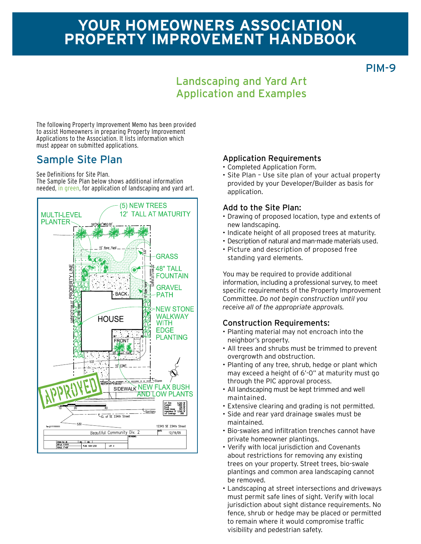PIM-9

## Landscaping and Yard Art Application and Examples

The following Property Improvement Memo has been provided to assist Homeowners in preparing Property Improvement Applications to the Association. It lists information which must appear on submitted applications.

See Definitions for Site Plan.

The Sample Site Plan below shows additional information needed, in green, for application of landscaping and yard art.



#### Sample Site Plan Application Requirements

- • Completed Application Form.
- Site Plan Use site plan of your actual property provided by your Developer/Builder as basis for application.

#### Add to the Site Plan:

- Drawing of proposed location, type and extents of new landscaping.
- • Indicate height of all proposed trees at maturity.
- Description of natural and man-made materials used.
- • Picture and description of proposed free standing yard elements.

You may be required to provide additional information, including a professional survey, to meet specific requirements of the Property Improvement Committee. *Do not begin construction until you receive all of the appropriate approvals.*

#### Construction Requirements:

- • Planting material may not encroach into the neighbor's property.
- All trees and shrubs must be trimmed to prevent overgrowth and obstruction.
- Planting of any tree, shrub, hedge or plant which may exceed a height of 6'-0" at maturity must go through the PIC approval process.
- • All landscaping must be kept trimmed and well maintained.
- Extensive clearing and grading is not permitted.
- • Side and rear yard drainage swales must be maintained.
- • Bio-swales and infiltration trenches cannot have private homeowner plantings.
- • Verify with local jurisdiction and Covenants about restrictions for removing any existing trees on your property. Street trees, bio-swale plantings and common area landscaping cannot be removed.
- • Landscaping at street intersections and driveways must permit safe lines of sight. Verify with local jurisdiction about sight distance requirements. No fence, shrub or hedge may be placed or permitted to remain where it would compromise traffic visibility and pedestrian safety.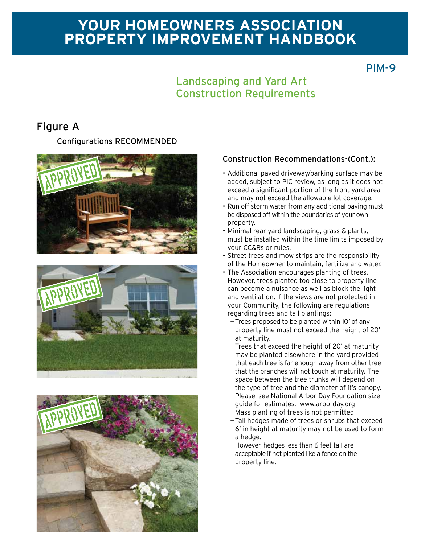## PIM-9

## Landscaping and Yard Art Construction Requirements

## Figure A

Configurations RECOMMENDED







#### Construction Recommendations-(Cont.):

- Additional paved driveway/parking surface may be added, subject to PIC review, as long as it does not exceed a significant portion of the front yard area and may not exceed the allowable lot coverage.
- Run off storm water from any additional paving must be disposed off within the boundaries of your own property.
- Minimal rear yard landscaping, grass & plants, must be installed within the time limits imposed by your CC&Rs or rules.
- Street trees and mow strips are the responsibility of the Homeowner to maintain, fertilize and water.
- The Association encourages planting of trees. However, trees planted too close to property line can become a nuisance as well as block the light and ventilation. If the views are not protected in your Community, the following are regulations regarding trees and tall plantings:
	- —Trees proposed to be planted within 10' of any property line must not exceed the height of 20' at maturity.
	- —Trees that exceed the height of 20' at maturity may be planted elsewhere in the yard provided that each tree is far enough away from other tree that the branches will not touch at maturity. The space between the tree trunks will depend on the type of tree and the diameter of it's canopy. Please, see National Arbor Day Foundation size guide for estimates. www.arborday.org
	- —Mass planting of trees is not permitted
	- —Tall hedges made of trees or shrubs that exceed 6' in height at maturity may not be used to form a hedge.
	- —However, hedges less than 6 feet tall are acceptable if not planted like a fence on the property line.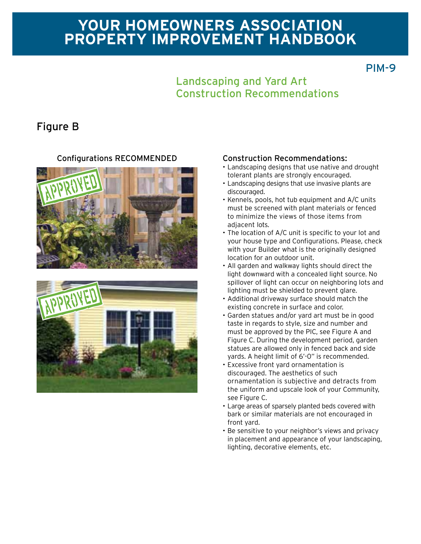## PIM-9

## Landscaping and Yard Art Construction Recommendations

## Figure B





#### Configurations RECOMMENDED Construction Recommendations:

- Landscaping designs that use native and drought tolerant plants are strongly encouraged.
- Landscaping designs that use invasive plants are discouraged.
- • Kennels, pools, hot tub equipment and A/C units must be screened with plant materials or fenced to minimize the views of those items from adjacent lots.
- The location of A/C unit is specific to your lot and your house type and Configurations. Please, check with your Builder what is the originally designed location for an outdoor unit.
- All garden and walkway lights should direct the light downward with a concealed light source. No spillover of light can occur on neighboring lots and lighting must be shielded to prevent glare.
- • Additional driveway surface should match the existing concrete in surface and color.
- • Garden statues and/or yard art must be in good taste in regards to style, size and number and must be approved by the PIC, see Figure A and Figure C. During the development period, garden statues are allowed only in fenced back and side yards. A height limit of 6'-0" is recommended.
- • Excessive front yard ornamentation is discouraged. The aesthetics of such ornamentation is subjective and detracts from the uniform and upscale look of your Community, see Figure C.
- Large areas of sparsely planted beds covered with bark or similar materials are not encouraged in front yard.
- Be sensitive to your neighbor's views and privacy in placement and appearance of your landscaping, lighting, decorative elements, etc.